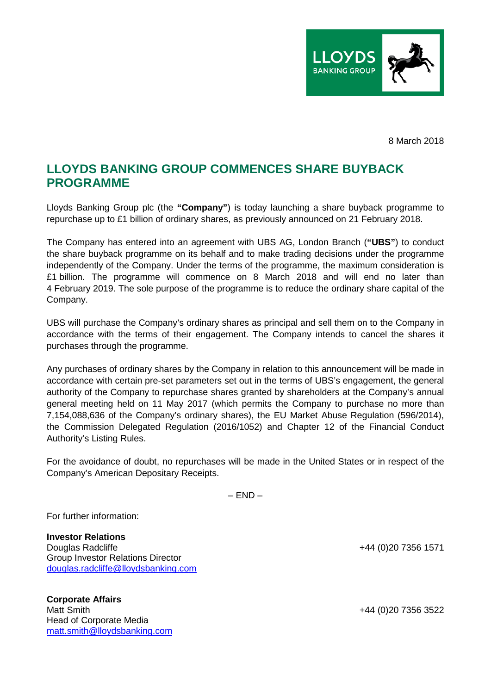

8 March 2018

## **LLOYDS BANKING GROUP COMMENCES SHARE BUYBACK PROGRAMME**

Lloyds Banking Group plc (the **"Company"**) is today launching a share buyback programme to repurchase up to £1 billion of ordinary shares, as previously announced on 21 February 2018.

The Company has entered into an agreement with UBS AG, London Branch (**"UBS"**) to conduct the share buyback programme on its behalf and to make trading decisions under the programme independently of the Company. Under the terms of the programme, the maximum consideration is £1 billion. The programme will commence on 8 March 2018 and will end no later than 4 February 2019. The sole purpose of the programme is to reduce the ordinary share capital of the Company.

UBS will purchase the Company's ordinary shares as principal and sell them on to the Company in accordance with the terms of their engagement. The Company intends to cancel the shares it purchases through the programme.

Any purchases of ordinary shares by the Company in relation to this announcement will be made in accordance with certain pre-set parameters set out in the terms of UBS's engagement, the general authority of the Company to repurchase shares granted by shareholders at the Company's annual general meeting held on 11 May 2017 (which permits the Company to purchase no more than 7,154,088,636 of the Company's ordinary shares), the EU Market Abuse Regulation (596/2014), the Commission Delegated Regulation (2016/1052) and Chapter 12 of the Financial Conduct Authority's Listing Rules.

For the avoidance of doubt, no repurchases will be made in the United States or in respect of the Company's American Depositary Receipts.

 $-$  END  $-$ 

For further information:

**Investor Relations**  Douglas Radcliffe +44 (0)20 7356 1571 Group Investor Relations Director douglas.radcliffe@lloydsbanking.com

**Corporate Affairs**  Head of Corporate Media matt.smith@lloydsbanking.com

+44 (0)20 7356 3522